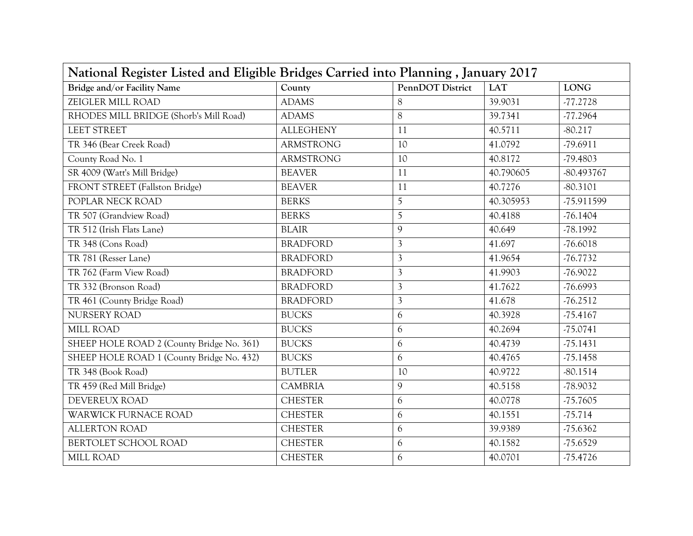| National Register Listed and Eligible Bridges Carried into Planning, January 2017 |                  |                  |            |             |
|-----------------------------------------------------------------------------------|------------------|------------------|------------|-------------|
| <b>Bridge and/or Facility Name</b>                                                | County           | PennDOT District | <b>LAT</b> | <b>LONG</b> |
| ZEIGLER MILL ROAD                                                                 | <b>ADAMS</b>     | 8                | 39.9031    | $-77.2728$  |
| RHODES MILL BRIDGE (Shorb's Mill Road)                                            | <b>ADAMS</b>     | 8                | 39.7341    | $-77.2964$  |
| <b>LEET STREET</b>                                                                | <b>ALLEGHENY</b> | 11               | 40.5711    | $-80.217$   |
| TR 346 (Bear Creek Road)                                                          | <b>ARMSTRONG</b> | 10               | 41.0792    | -79.6911    |
| County Road No. 1                                                                 | <b>ARMSTRONG</b> | 10               | 40.8172    | $-79.4803$  |
| SR 4009 (Watt's Mill Bridge)                                                      | <b>BEAVER</b>    | 11               | 40.790605  | -80.493767  |
| FRONT STREET (Fallston Bridge)                                                    | <b>BEAVER</b>    | 11               | 40.7276    | $-80.3101$  |
| POPLAR NECK ROAD                                                                  | <b>BERKS</b>     | 5                | 40.305953  | -75.911599  |
| TR 507 (Grandview Road)                                                           | <b>BERKS</b>     | 5                | 40.4188    | $-76.1404$  |
| TR 512 (Irish Flats Lane)                                                         | <b>BLAIR</b>     | $\mathcal{Q}$    | 40.649     | $-78.1992$  |
| TR 348 (Cons Road)                                                                | <b>BRADFORD</b>  | 3                | 41.697     | $-76.6018$  |
| TR 781 (Resser Lane)                                                              | <b>BRADFORD</b>  | $\mathfrak{Z}$   | 41.9654    | $-76.7732$  |
| TR 762 (Farm View Road)                                                           | <b>BRADFORD</b>  | 3                | 41.9903    | $-76.9022$  |
| TR 332 (Bronson Road)                                                             | <b>BRADFORD</b>  | 3                | 41.7622    | $-76.6993$  |
| TR 461 (County Bridge Road)                                                       | <b>BRADFORD</b>  | $\mathfrak{Z}$   | 41.678     | $-76.2512$  |
| NURSERY ROAD                                                                      | <b>BUCKS</b>     | 6                | 40.3928    | $-75.4167$  |
| MILL ROAD                                                                         | <b>BUCKS</b>     | 6                | 40.2694    | $-75.0741$  |
| SHEEP HOLE ROAD 2 (County Bridge No. 361)                                         | <b>BUCKS</b>     | 6                | 40.4739    | $-75.1431$  |
| SHEEP HOLE ROAD 1 (County Bridge No. 432)                                         | <b>BUCKS</b>     | 6                | 40.4765    | $-75.1458$  |
| TR 348 (Book Road)                                                                | <b>BUTLER</b>    | 10               | 40.9722    | $-80.1514$  |
| TR 459 (Red Mill Bridge)                                                          | <b>CAMBRIA</b>   | 9                | 40.5158    | -78.9032    |
| DEVEREUX ROAD                                                                     | <b>CHESTER</b>   | 6                | 40.0778    | $-75.7605$  |
| WARWICK FURNACE ROAD                                                              | <b>CHESTER</b>   | 6                | 40.1551    | $-75.714$   |
| <b>ALLERTON ROAD</b>                                                              | <b>CHESTER</b>   | 6                | 39.9389    | $-75.6362$  |
| BERTOLET SCHOOL ROAD                                                              | <b>CHESTER</b>   | 6                | 40.1582    | $-75.6529$  |
| MILL ROAD                                                                         | <b>CHESTER</b>   | 6                | 40.0701    | $-75.4726$  |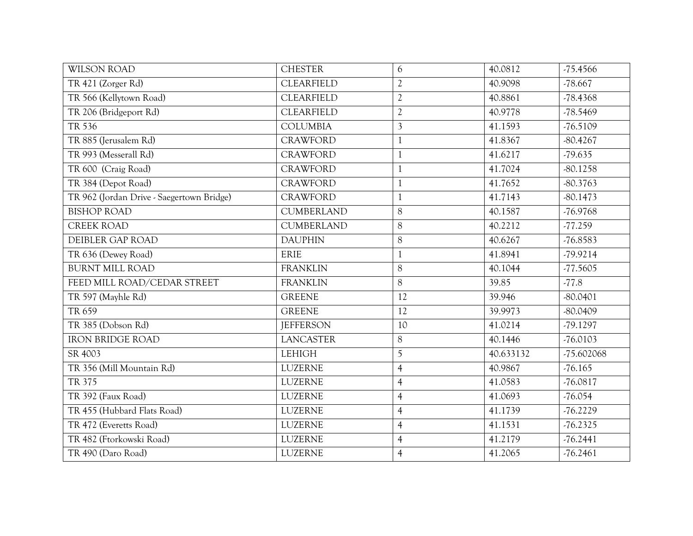| <b>WILSON ROAD</b>                        | <b>CHESTER</b>    | 6              | 40.0812   | $-75.4566$ |
|-------------------------------------------|-------------------|----------------|-----------|------------|
| TR 421 (Zorger Rd)                        | <b>CLEARFIELD</b> | $\overline{2}$ | 40.9098   | $-78.667$  |
| TR 566 (Kellytown Road)                   | <b>CLEARFIELD</b> | $\overline{2}$ | 40.8861   | $-78.4368$ |
| TR 206 (Bridgeport Rd)                    | <b>CLEARFIELD</b> | $\sqrt{2}$     | 40.9778   | $-78.5469$ |
| TR 536                                    | <b>COLUMBIA</b>   | $\mathfrak{Z}$ | 41.1593   | $-76.5109$ |
| TR 885 (Jerusalem Rd)                     | <b>CRAWFORD</b>   | $\mathbf{1}$   | 41.8367   | $-80.4267$ |
| TR 993 (Messerall Rd)                     | <b>CRAWFORD</b>   | $\mathbf{1}$   | 41.6217   | $-79.635$  |
| TR 600 (Craig Road)                       | <b>CRAWFORD</b>   | $\mathbf{1}$   | 41.7024   | $-80.1258$ |
| TR 384 (Depot Road)                       | <b>CRAWFORD</b>   | $\mathbf{1}$   | 41.7652   | $-80.3763$ |
| TR 962 (Jordan Drive - Saegertown Bridge) | <b>CRAWFORD</b>   | $\mathbf{1}$   | 41.7143   | $-80.1473$ |
| <b>BISHOP ROAD</b>                        | <b>CUMBERLAND</b> | 8              | 40.1587   | $-76.9768$ |
| <b>CREEK ROAD</b>                         | <b>CUMBERLAND</b> | 8              | 40.2212   | $-77.259$  |
| DEIBLER GAP ROAD                          | <b>DAUPHIN</b>    | $8\,$          | 40.6267   | $-76.8583$ |
| TR 636 (Dewey Road)                       | ERIE              | $\mathbf{1}$   | 41.8941   | $-79.9214$ |
| <b>BURNT MILL ROAD</b>                    | <b>FRANKLIN</b>   | 8              | 40.1044   | $-77.5605$ |
| FEED MILL ROAD/CEDAR STREET               | <b>FRANKLIN</b>   | 8              | 39.85     | $-77.8$    |
| TR 597 (Mayhle Rd)                        | <b>GREENE</b>     | 12             | 39.946    | $-80.0401$ |
| TR 659                                    | <b>GREENE</b>     | 12             | 39.9973   | $-80.0409$ |
| TR 385 (Dobson Rd)                        | <b>JEFFERSON</b>  | 10             | 41.0214   | $-79.1297$ |
| <b>IRON BRIDGE ROAD</b>                   | <b>LANCASTER</b>  | $8\,$          | 40.1446   | $-76.0103$ |
| SR 4003                                   | <b>LEHIGH</b>     | 5              | 40.633132 | -75.602068 |
| TR 356 (Mill Mountain Rd)                 | <b>LUZERNE</b>    | $\overline{4}$ | 40.9867   | $-76.165$  |
| TR 375                                    | <b>LUZERNE</b>    | $\overline{4}$ | 41.0583   | $-76.0817$ |
| TR 392 (Faux Road)                        | <b>LUZERNE</b>    | $\overline{4}$ | 41.0693   | $-76.054$  |
| TR 455 (Hubbard Flats Road)               | <b>LUZERNE</b>    | $\overline{4}$ | 41.1739   | $-76.2229$ |
| TR 472 (Everetts Road)                    | <b>LUZERNE</b>    | $\overline{4}$ | 41.1531   | $-76.2325$ |
| TR 482 (Ftorkowski Road)                  | <b>LUZERNE</b>    | $\overline{4}$ | 41.2179   | $-76.2441$ |
| TR 490 (Daro Road)                        | LUZERNE           | $\overline{4}$ | 41.2065   | $-76.2461$ |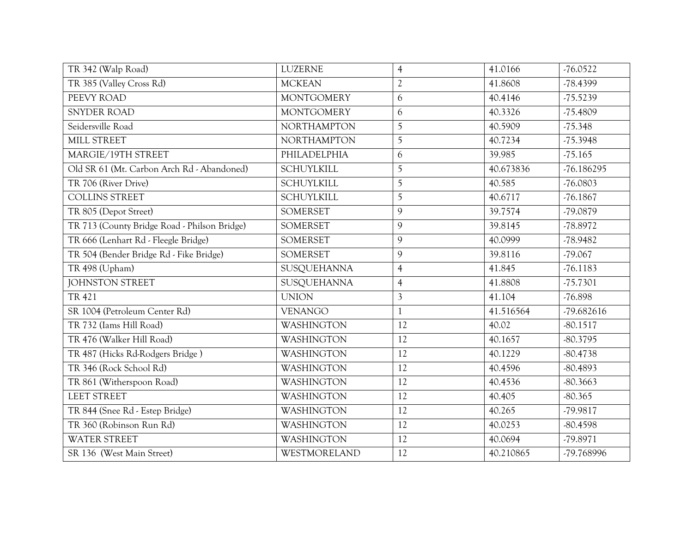| TR 342 (Walp Road)                           | LUZERNE            | $\overline{4}$ | 41.0166   | $-76.0522$   |
|----------------------------------------------|--------------------|----------------|-----------|--------------|
| TR 385 (Valley Cross Rd)                     | <b>MCKEAN</b>      | $\sqrt{2}$     | 41.8608   | -78.4399     |
| PEEVY ROAD                                   | <b>MONTGOMERY</b>  | 6              | 40.4146   | $-75.5239$   |
| <b>SNYDER ROAD</b>                           | <b>MONTGOMERY</b>  | 6              | 40.3326   | $-75.4809$   |
| Seidersville Road                            | <b>NORTHAMPTON</b> | 5              | 40.5909   | $-75.348$    |
| MILL STREET                                  | <b>NORTHAMPTON</b> | 5              | 40.7234   | $-75.3948$   |
| MARGIE/19TH STREET                           | PHILADELPHIA       | 6              | 39.985    | $-75.165$    |
| Old SR 61 (Mt. Carbon Arch Rd - Abandoned)   | <b>SCHUYLKILL</b>  | 5              | 40.673836 | $-76.186295$ |
| TR 706 (River Drive)                         | <b>SCHUYLKILL</b>  | 5              | 40.585    | $-76.0803$   |
| <b>COLLINS STREET</b>                        | <b>SCHUYLKILL</b>  | 5              | 40.6717   | $-76.1867$   |
| TR 805 (Depot Street)                        | <b>SOMERSET</b>    | 9              | 39.7574   | -79.0879     |
| TR 713 (County Bridge Road - Philson Bridge) | <b>SOMERSET</b>    | 9              | 39.8145   | $-78.8972$   |
| TR 666 (Lenhart Rd - Fleegle Bridge)         | <b>SOMERSET</b>    | 9              | 40.0999   | $-78.9482$   |
| TR 504 (Bender Bridge Rd - Fike Bridge)      | <b>SOMERSET</b>    | 9              | 39.8116   | $-79.067$    |
| TR 498 (Upham)                               | SUSQUEHANNA        | $\overline{4}$ | 41.845    | $-76.1183$   |
| <b>JOHNSTON STREET</b>                       | SUSQUEHANNA        | $\overline{4}$ | 41.8808   | $-75.7301$   |
| <b>TR 421</b>                                | <b>UNION</b>       | $\overline{3}$ | 41.104    | $-76.898$    |
| SR 1004 (Petroleum Center Rd)                | <b>VENANGO</b>     | $\mathbf{1}$   | 41.516564 | -79.682616   |
| TR 732 (Iams Hill Road)                      | <b>WASHINGTON</b>  | 12             | 40.02     | $-80.1517$   |
| TR 476 (Walker Hill Road)                    | <b>WASHINGTON</b>  | 12             | 40.1657   | $-80.3795$   |
| TR 487 (Hicks Rd-Rodgers Bridge)             | <b>WASHINGTON</b>  | 12             | 40.1229   | $-80.4738$   |
| TR 346 (Rock School Rd)                      | <b>WASHINGTON</b>  | 12             | 40.4596   | $-80.4893$   |
| TR 861 (Witherspoon Road)                    | <b>WASHINGTON</b>  | 12             | 40.4536   | $-80.3663$   |
| <b>LEET STREET</b>                           | <b>WASHINGTON</b>  | 12             | 40.405    | $-80.365$    |
| TR 844 (Snee Rd - Estep Bridge)              | <b>WASHINGTON</b>  | 12             | 40.265    | -79.9817     |
| TR 360 (Robinson Run Rd)                     | WASHINGTON         | 12             | 40.0253   | $-80.4598$   |
| <b>WATER STREET</b>                          | <b>WASHINGTON</b>  | 12             | 40.0694   | -79.8971     |
| SR 136 (West Main Street)                    | WESTMORELAND       | 12             | 40.210865 | -79.768996   |